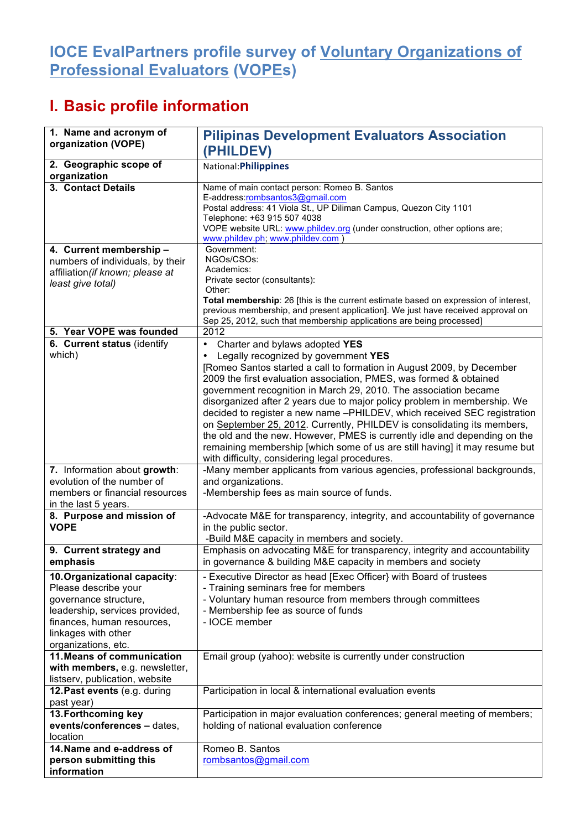## **IOCE EvalPartners profile survey of Voluntary Organizations of Professional Evaluators (VOPEs)**

## **I. Basic profile information**

| 1. Name and acronym of<br>organization (VOPE)                    | <b>Pilipinas Development Evaluators Association</b>                                                                                                                     |  |  |
|------------------------------------------------------------------|-------------------------------------------------------------------------------------------------------------------------------------------------------------------------|--|--|
|                                                                  | (PHILDEV)                                                                                                                                                               |  |  |
| 2. Geographic scope of<br>organization                           | National: Philippines                                                                                                                                                   |  |  |
| 3. Contact Details                                               | Name of main contact person: Romeo B. Santos<br>E-address:rombsantos3@gmail.com                                                                                         |  |  |
|                                                                  | Postal address: 41 Viola St., UP Diliman Campus, Quezon City 1101                                                                                                       |  |  |
|                                                                  | Telephone: +63 915 507 4038<br>VOPE website URL: www.phildev.org (under construction, other options are;                                                                |  |  |
|                                                                  | www.phildev.ph; www.phildev.com )                                                                                                                                       |  |  |
| 4. Current membership -                                          | Government:                                                                                                                                                             |  |  |
| numbers of individuals, by their                                 | NGOs/CSOs:<br>Academics:                                                                                                                                                |  |  |
| affiliation (if known; please at<br>least give total)            | Private sector (consultants):                                                                                                                                           |  |  |
|                                                                  | Other:                                                                                                                                                                  |  |  |
|                                                                  | Total membership: 26 [this is the current estimate based on expression of interest,<br>previous membership, and present application]. We just have received approval on |  |  |
|                                                                  | Sep 25, 2012, such that membership applications are being processed]                                                                                                    |  |  |
| 5. Year VOPE was founded                                         | 2012                                                                                                                                                                    |  |  |
| 6. Current status (identify                                      | Charter and bylaws adopted YES<br>٠                                                                                                                                     |  |  |
| which)                                                           | Legally recognized by government YES                                                                                                                                    |  |  |
|                                                                  | [Romeo Santos started a call to formation in August 2009, by December<br>2009 the first evaluation association, PMES, was formed & obtained                             |  |  |
|                                                                  | government recognition in March 29, 2010. The association became                                                                                                        |  |  |
|                                                                  | disorganized after 2 years due to major policy problem in membership. We                                                                                                |  |  |
|                                                                  | decided to register a new name -PHILDEV, which received SEC registration                                                                                                |  |  |
|                                                                  | on September 25, 2012. Currently, PHILDEV is consolidating its members,                                                                                                 |  |  |
|                                                                  | the old and the new. However, PMES is currently idle and depending on the<br>remaining membership [which some of us are still having] it may resume but                 |  |  |
|                                                                  | with difficulty, considering legal procedures.                                                                                                                          |  |  |
| 7. Information about growth:                                     | -Many member applicants from various agencies, professional backgrounds,                                                                                                |  |  |
| evolution of the number of                                       | and organizations.                                                                                                                                                      |  |  |
| members or financial resources<br>in the last 5 years.           | -Membership fees as main source of funds.                                                                                                                               |  |  |
| 8. Purpose and mission of                                        | -Advocate M&E for transparency, integrity, and accountability of governance                                                                                             |  |  |
| <b>VOPE</b>                                                      | in the public sector.                                                                                                                                                   |  |  |
|                                                                  | -Build M&E capacity in members and society.                                                                                                                             |  |  |
| 9. Current strategy and<br>emphasis                              | Emphasis on advocating M&E for transparency, integrity and accountability<br>in governance & building M&E capacity in members and society                               |  |  |
| 10. Organizational capacity:                                     | - Executive Director as head [Exec Officer] with Board of trustees                                                                                                      |  |  |
| Please describe your                                             | - Training seminars free for members                                                                                                                                    |  |  |
| governance structure,<br>leadership, services provided,          | - Voluntary human resource from members through committees<br>- Membership fee as source of funds                                                                       |  |  |
| finances, human resources,                                       | - IOCE member                                                                                                                                                           |  |  |
| linkages with other                                              |                                                                                                                                                                         |  |  |
| organizations, etc.                                              |                                                                                                                                                                         |  |  |
| 11. Means of communication                                       | Email group (yahoo): website is currently under construction                                                                                                            |  |  |
| with members, e.g. newsletter,<br>listserv, publication, website |                                                                                                                                                                         |  |  |
| 12. Past events (e.g. during                                     | Participation in local & international evaluation events                                                                                                                |  |  |
| past year)                                                       |                                                                                                                                                                         |  |  |
| 13. Forthcoming key                                              | Participation in major evaluation conferences; general meeting of members;                                                                                              |  |  |
| events/conferences - dates,                                      | holding of national evaluation conference                                                                                                                               |  |  |
| location<br>14. Name and e-address of                            | Romeo B. Santos                                                                                                                                                         |  |  |
| person submitting this                                           | rombsantos@gmail.com                                                                                                                                                    |  |  |
| information                                                      |                                                                                                                                                                         |  |  |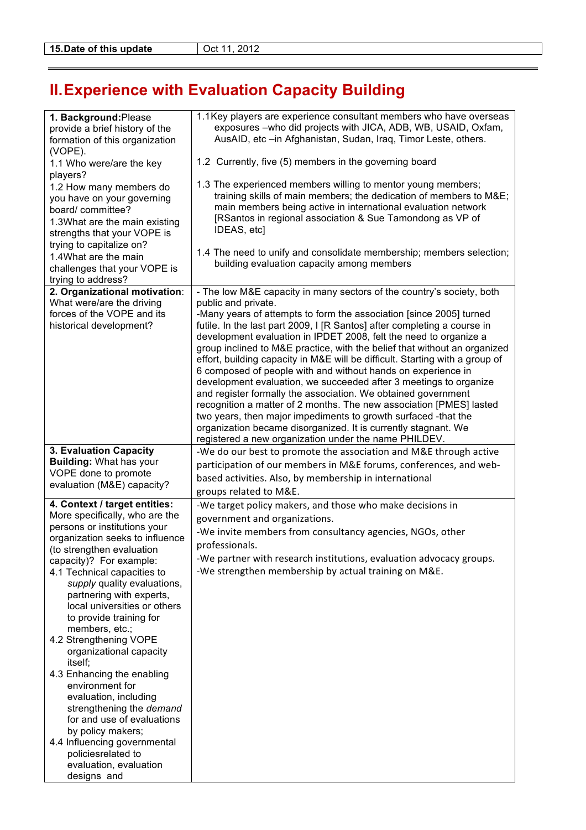## **II.Experience with Evaluation Capacity Building**

| 1. Background: Please<br>provide a brief history of the<br>formation of this organization<br>(VOPE).<br>1.1 Who were/are the key<br>players?<br>1.2 How many members do<br>you have on your governing<br>board/ committee?<br>1.3What are the main existing<br>strengths that your VOPE is<br>trying to capitalize on?<br>1.4What are the main<br>challenges that your VOPE is<br>trying to address?                                                                                                                                                                                                                                                                       | 1.1 Key players are experience consultant members who have overseas<br>exposures -who did projects with JICA, ADB, WB, USAID, Oxfam,<br>AusAID, etc -in Afghanistan, Sudan, Iraq, Timor Leste, others.<br>1.2 Currently, five (5) members in the governing board<br>1.3 The experienced members willing to mentor young members;<br>training skills of main members; the dedication of members to M&E<br>main members being active in international evaluation network<br>[RSantos in regional association & Sue Tamondong as VP of<br>IDEAS, etc]<br>1.4 The need to unify and consolidate membership; members selection;<br>building evaluation capacity among members                                                                                                                                                                                                                                                                                    |
|----------------------------------------------------------------------------------------------------------------------------------------------------------------------------------------------------------------------------------------------------------------------------------------------------------------------------------------------------------------------------------------------------------------------------------------------------------------------------------------------------------------------------------------------------------------------------------------------------------------------------------------------------------------------------|-------------------------------------------------------------------------------------------------------------------------------------------------------------------------------------------------------------------------------------------------------------------------------------------------------------------------------------------------------------------------------------------------------------------------------------------------------------------------------------------------------------------------------------------------------------------------------------------------------------------------------------------------------------------------------------------------------------------------------------------------------------------------------------------------------------------------------------------------------------------------------------------------------------------------------------------------------------|
| 2. Organizational motivation:<br>What were/are the driving<br>forces of the VOPE and its<br>historical development?                                                                                                                                                                                                                                                                                                                                                                                                                                                                                                                                                        | - The low M&E capacity in many sectors of the country's society, both<br>public and private.<br>-Many years of attempts to form the association [since 2005] turned<br>futile. In the last part 2009, I [R Santos] after completing a course in<br>development evaluation in IPDET 2008, felt the need to organize a<br>group inclined to M&E practice, with the belief that without an organized<br>effort, building capacity in M&E will be difficult. Starting with a group of<br>6 composed of people with and without hands on experience in<br>development evaluation, we succeeded after 3 meetings to organize<br>and register formally the association. We obtained government<br>recognition a matter of 2 months. The new association [PMES] lasted<br>two years, then major impediments to growth surfaced -that the<br>organization became disorganized. It is currently stagnant. We<br>registered a new organization under the name PHILDEV. |
| 3. Evaluation Capacity<br><b>Building: What has your</b><br>VOPE done to promote<br>evaluation (M&E) capacity?                                                                                                                                                                                                                                                                                                                                                                                                                                                                                                                                                             | -We do our best to promote the association and M&E through active<br>participation of our members in M&E forums, conferences, and web-<br>based activities. Also, by membership in international<br>groups related to M&E.                                                                                                                                                                                                                                                                                                                                                                                                                                                                                                                                                                                                                                                                                                                                  |
| 4. Context / target entities:<br>More specifically, who are the<br>persons or institutions your<br>organization seeks to influence<br>(to strengthen evaluation<br>capacity)? For example:<br>4.1 Technical capacities to<br>supply quality evaluations,<br>partnering with experts,<br>local universities or others<br>to provide training for<br>members, etc.;<br>4.2 Strengthening VOPE<br>organizational capacity<br>itself;<br>4.3 Enhancing the enabling<br>environment for<br>evaluation, including<br>strengthening the demand<br>for and use of evaluations<br>by policy makers;<br>4.4 Influencing governmental<br>policiesrelated to<br>evaluation, evaluation | -We target policy makers, and those who make decisions in<br>government and organizations.<br>-We invite members from consultancy agencies, NGOs, other<br>professionals.<br>-We partner with research institutions, evaluation advocacy groups.<br>-We strengthen membership by actual training on M&E.                                                                                                                                                                                                                                                                                                                                                                                                                                                                                                                                                                                                                                                    |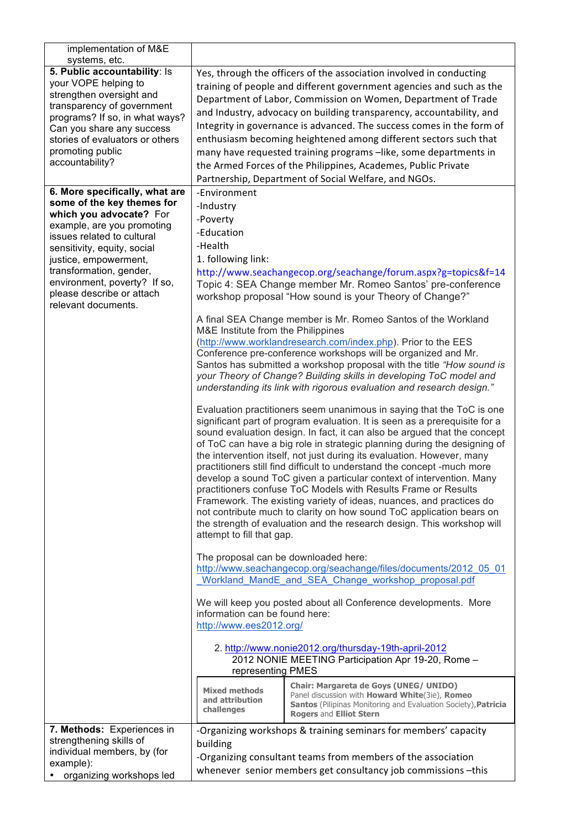| implementation of M&E<br>systems, etc.                                                                                                                                                                                                                                                                                     |                                                                                                                                                                                                                                                                                                                                                                                                                                                                                                                                                                                                                                |                                                                                                                                                                                                                                                                                                                                                                                                                                                                                                                                                                                                                                                                                                                                                                                                                                                                                                                                                                                                                                                                                                                                                                                                                                                                                                                                                                                                                                                                                                                                                                                                                                                                                                                                                                                                                                                                                                                                                                                       |  |
|----------------------------------------------------------------------------------------------------------------------------------------------------------------------------------------------------------------------------------------------------------------------------------------------------------------------------|--------------------------------------------------------------------------------------------------------------------------------------------------------------------------------------------------------------------------------------------------------------------------------------------------------------------------------------------------------------------------------------------------------------------------------------------------------------------------------------------------------------------------------------------------------------------------------------------------------------------------------|---------------------------------------------------------------------------------------------------------------------------------------------------------------------------------------------------------------------------------------------------------------------------------------------------------------------------------------------------------------------------------------------------------------------------------------------------------------------------------------------------------------------------------------------------------------------------------------------------------------------------------------------------------------------------------------------------------------------------------------------------------------------------------------------------------------------------------------------------------------------------------------------------------------------------------------------------------------------------------------------------------------------------------------------------------------------------------------------------------------------------------------------------------------------------------------------------------------------------------------------------------------------------------------------------------------------------------------------------------------------------------------------------------------------------------------------------------------------------------------------------------------------------------------------------------------------------------------------------------------------------------------------------------------------------------------------------------------------------------------------------------------------------------------------------------------------------------------------------------------------------------------------------------------------------------------------------------------------------------------|--|
| 5. Public accountability: Is<br>your VOPE helping to<br>strengthen oversight and<br>transparency of government<br>programs? If so, in what ways?<br>Can you share any success<br>stories of evaluators or others<br>promoting public<br>accountability?                                                                    | Yes, through the officers of the association involved in conducting<br>training of people and different government agencies and such as the<br>Department of Labor, Commission on Women, Department of Trade<br>and Industry, advocacy on building transparency, accountability, and<br>Integrity in governance is advanced. The success comes in the form of<br>enthusiasm becoming heightened among different sectors such that<br>many have requested training programs -like, some departments in<br>the Armed Forces of the Philippines, Academes, Public Private<br>Partnership, Department of Social Welfare, and NGOs. |                                                                                                                                                                                                                                                                                                                                                                                                                                                                                                                                                                                                                                                                                                                                                                                                                                                                                                                                                                                                                                                                                                                                                                                                                                                                                                                                                                                                                                                                                                                                                                                                                                                                                                                                                                                                                                                                                                                                                                                       |  |
| 6. More specifically, what are<br>some of the key themes for<br>which you advocate? For<br>example, are you promoting<br>issues related to cultural<br>sensitivity, equity, social<br>justice, empowerment,<br>transformation, gender,<br>environment, poverty? If so,<br>please describe or attach<br>relevant documents. | -Environment<br>-Industry<br>-Poverty<br>-Education<br>-Health<br>1. following link:<br>M&E Institute from the Philippines<br>attempt to fill that gap.<br>The proposal can be downloaded here:<br>information can be found here:<br>http://www.ees2012.org/<br>representing PMES<br><b>Mixed methods</b><br>and attribution<br>challenges                                                                                                                                                                                                                                                                                     | http://www.seachangecop.org/seachange/forum.aspx?g=topics&f=14<br>Topic 4: SEA Change member Mr. Romeo Santos' pre-conference<br>workshop proposal "How sound is your Theory of Change?"<br>A final SEA Change member is Mr. Romeo Santos of the Workland<br>(http://www.worklandresearch.com/index.php). Prior to the EES<br>Conference pre-conference workshops will be organized and Mr.<br>Santos has submitted a workshop proposal with the title "How sound is<br>your Theory of Change? Building skills in developing ToC model and<br>understanding its link with rigorous evaluation and research design."<br>Evaluation practitioners seem unanimous in saying that the ToC is one<br>significant part of program evaluation. It is seen as a prerequisite for a<br>sound evaluation design. In fact, it can also be argued that the concept<br>of ToC can have a big role in strategic planning during the designing of<br>the intervention itself, not just during its evaluation. However, many<br>practitioners still find difficult to understand the concept -much more<br>develop a sound ToC given a particular context of intervention. Many<br>practitioners confuse ToC Models with Results Frame or Results<br>Framework. The existing variety of ideas, nuances, and practices do<br>not contribute much to clarity on how sound ToC application bears on<br>the strength of evaluation and the research design. This workshop will<br>http://www.seachangecop.org/seachange/files/documents/2012_05_01<br>Workland MandE and SEA Change workshop proposal.pdf<br>We will keep you posted about all Conference developments. More<br>2. http://www.nonie2012.org/thursday-19th-april-2012<br>2012 NONIE MEETING Participation Apr 19-20, Rome -<br>Chair: Margareta de Goys (UNEG/ UNIDO)<br>Panel discussion with <b>Howard White</b> (3ie), Romeo<br><b>Santos</b> (Pilipinas Monitoring and Evaluation Society), Patricia<br><b>Rogers and Elliot Stern</b> |  |
| 7. Methods: Experiences in<br>strengthening skills of<br>individual members, by (for<br>example):<br>organizing workshops led                                                                                                                                                                                              | building                                                                                                                                                                                                                                                                                                                                                                                                                                                                                                                                                                                                                       | -Organizing workshops & training seminars for members' capacity<br>-Organizing consultant teams from members of the association<br>whenever senior members get consultancy job commissions -this                                                                                                                                                                                                                                                                                                                                                                                                                                                                                                                                                                                                                                                                                                                                                                                                                                                                                                                                                                                                                                                                                                                                                                                                                                                                                                                                                                                                                                                                                                                                                                                                                                                                                                                                                                                      |  |